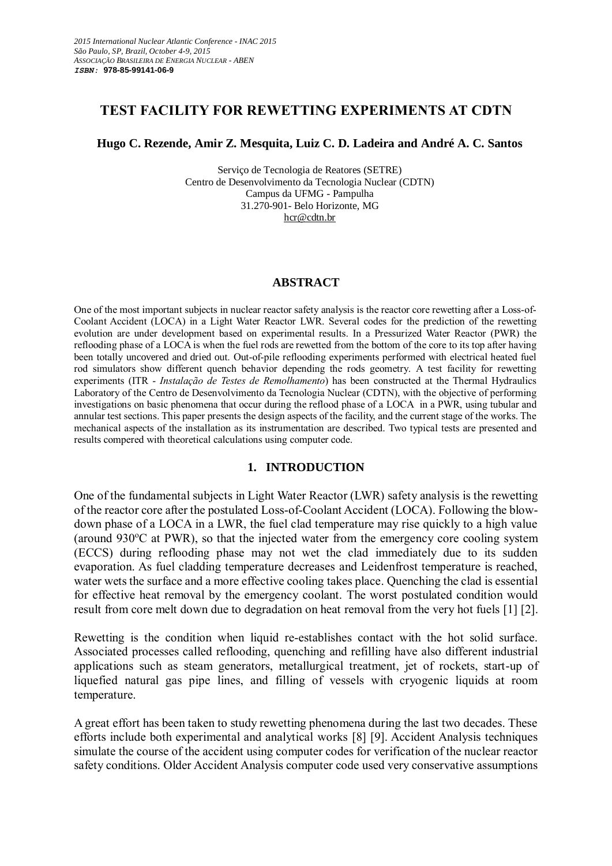# **TEST FACILITY FOR REWETTING EXPERIMENTS AT CDTN**

## **Hugo C. Rezende, Amir Z. Mesquita, Luiz C. D. Ladeira and André A. C. Santos**

Serviço de Tecnologia de Reatores (SETRE) Centro de Desenvolvimento da Tecnologia Nuclear (CDTN) Campus da UFMG - Pampulha 31.270-901- Belo Horizonte, MG [hcr@cdtn.br](mailto:hcr@cdtn.br)

#### **ABSTRACT**

One of the most important subjects in nuclear reactor safety analysis is the reactor core rewetting after a Loss-of-Coolant Accident (LOCA) in a Light Water Reactor LWR. Several codes for the prediction of the rewetting evolution are under development based on experimental results. In a Pressurized Water Reactor (PWR) the reflooding phase of a LOCA is when the fuel rods are rewetted from the bottom of the core to its top after having been totally uncovered and dried out. Out-of-pile reflooding experiments performed with electrical heated fuel rod simulators show different quench behavior depending the rods geometry. A test facility for rewetting experiments (ITR - *Instalação de Testes de Remolhamento*) has been constructed at the Thermal Hydraulics Laboratory of the Centro de Desenvolvimento da Tecnologia Nuclear (CDTN), with the objective of performing investigations on basic phenomena that occur during the reflood phase of a LOCA in a PWR, using tubular and annular test sections. This paper presents the design aspects of the facility, and the current stage of the works. The mechanical aspects of the installation as its instrumentation are described. Two typical tests are presented and results compered with theoretical calculations using computer code.

## **1. INTRODUCTION**

One of the fundamental subjects in Light Water Reactor (LWR) safety analysis is the rewetting of the reactor core after the postulated Loss-of-Coolant Accident (LOCA). Following the blowdown phase of a LOCA in a LWR, the fuel clad temperature may rise quickly to a high value (around  $930^{\circ}$ C at PWR), so that the injected water from the emergency core cooling system (ECCS) during reflooding phase may not wet the clad immediately due to its sudden evaporation. As fuel cladding temperature decreases and Leidenfrost temperature is reached, water wets the surface and a more effective cooling takes place. Quenching the clad is essential for effective heat removal by the emergency coolant. The worst postulated condition would result from core melt down due to degradation on heat removal from the very hot fuels [1] [2].

Rewetting is the condition when liquid re-establishes contact with the hot solid surface. Associated processes called reflooding, quenching and refilling have also different industrial applications such as steam generators, metallurgical treatment, jet of rockets, start-up of liquefied natural gas pipe lines, and filling of vessels with cryogenic liquids at room temperature.

A great effort has been taken to study rewetting phenomena during the last two decades. These efforts include both experimental and analytical works [8] [9]. Accident Analysis techniques simulate the course of the accident using computer codes for verification of the nuclear reactor safety conditions. Older Accident Analysis computer code used very conservative assumptions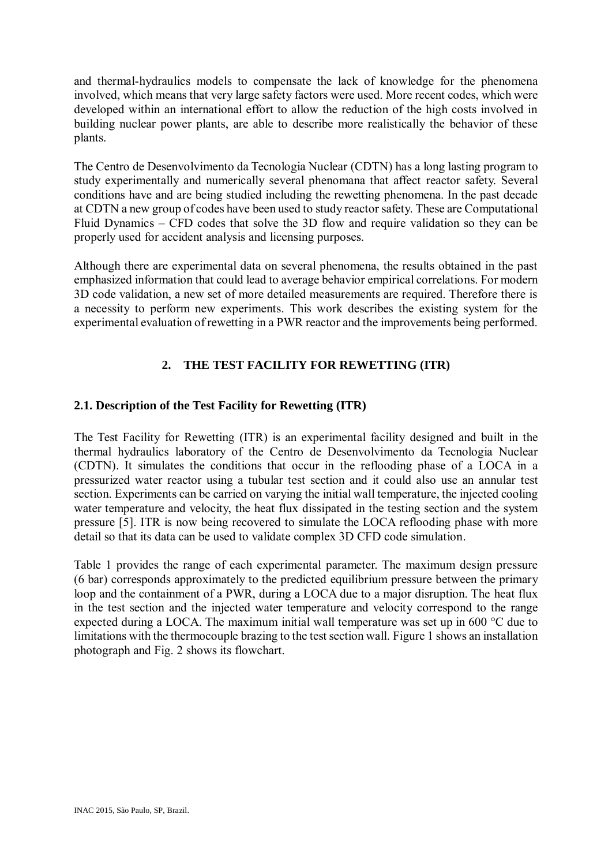and thermal-hydraulics models to compensate the lack of knowledge for the phenomena involved, which means that very large safety factors were used. More recent codes, which were developed within an international effort to allow the reduction of the high costs involved in building nuclear power plants, are able to describe more realistically the behavior of these plants.

The Centro de Desenvolvimento da Tecnologia Nuclear (CDTN) has a long lasting program to study experimentally and numerically several phenomana that affect reactor safety. Several conditions have and are being studied including the rewetting phenomena. In the past decade at CDTN a new group of codes have been used to study reactor safety. These are Computational Fluid Dynamics – CFD codes that solve the 3D flow and require validation so they can be properly used for accident analysis and licensing purposes.

Although there are experimental data on several phenomena, the results obtained in the past emphasized information that could lead to average behavior empirical correlations. For modern 3D code validation, a new set of more detailed measurements are required. Therefore there is a necessity to perform new experiments. This work describes the existing system for the experimental evaluation of rewetting in a PWR reactor and the improvements being performed.

# **2. THE TEST FACILITY FOR REWETTING (ITR)**

# **2.1. Description of the Test Facility for Rewetting (ITR)**

The Test Facility for Rewetting (ITR) is an experimental facility designed and built in the thermal hydraulics laboratory of the Centro de Desenvolvimento da Tecnologia Nuclear (CDTN). It simulates the conditions that occur in the reflooding phase of a LOCA in a pressurized water reactor using a tubular test section and it could also use an annular test section. Experiments can be carried on varying the initial wall temperature, the injected cooling water temperature and velocity, the heat flux dissipated in the testing section and the system pressure [5]. ITR is now being recovered to simulate the LOCA reflooding phase with more detail so that its data can be used to validate complex 3D CFD code simulation.

Table 1 provides the range of each experimental parameter. The maximum design pressure (6 bar) corresponds approximately to the predicted equilibrium pressure between the primary loop and the containment of a PWR, during a LOCA due to a major disruption. The heat flux in the test section and the injected water temperature and velocity correspond to the range expected during a LOCA. The maximum initial wall temperature was set up in 600 °C due to limitations with the thermocouple brazing to the test section wall. Figure 1 shows an installation photograph and Fig. 2 shows its flowchart.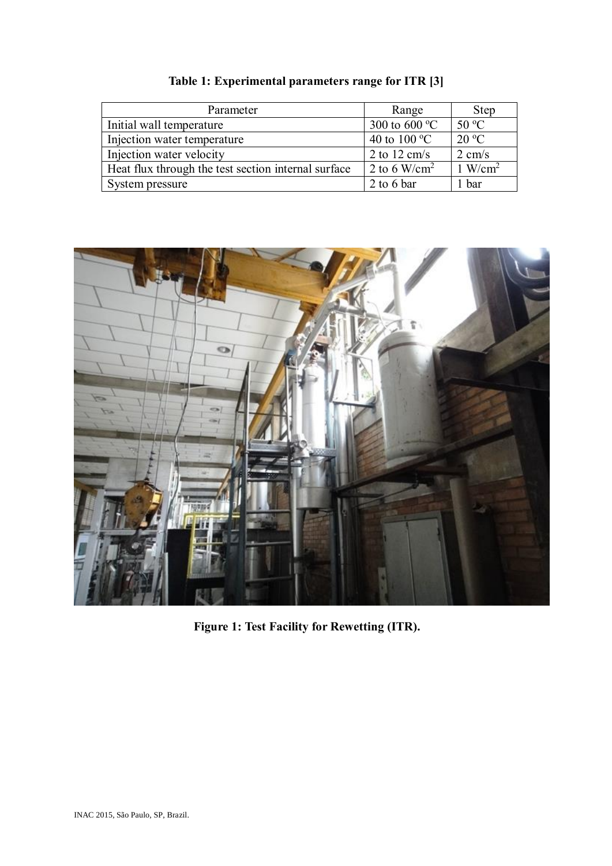| Parameter                                           | Range                           | <b>Step</b>        |
|-----------------------------------------------------|---------------------------------|--------------------|
| Initial wall temperature                            | 300 to 600 $\mathrm{^{\circ}C}$ | $50^{\circ}$ C     |
| Injection water temperature                         | 40 to 100 $\mathrm{^{\circ}C}$  | $20^{\circ}$ C     |
| Injection water velocity                            | 2 to 12 cm/s                    | $2 \text{ cm/s}$   |
| Heat flux through the test section internal surface | 2 to 6 W/cm <sup>2</sup>        | $1 \text{ W/cm}^2$ |
| System pressure                                     | 2 to 6 bar                      | bar                |

**Table 1: Experimental parameters range for ITR [3]**



**Figure 1: Test Facility for Rewetting (ITR).**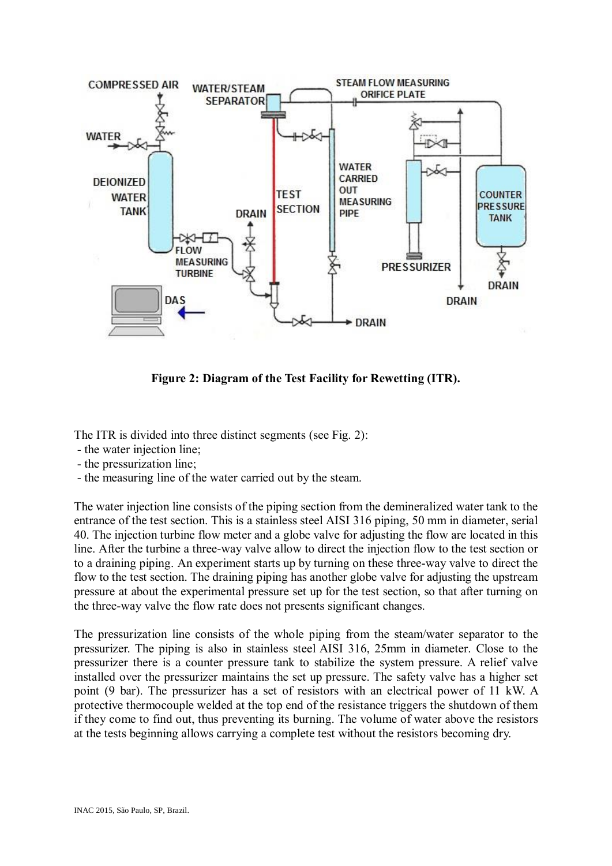

**Figure 2: Diagram of the Test Facility for Rewetting (ITR).**

The ITR is divided into three distinct segments (see Fig. 2):

- the water injection line;
- the pressurization line;
- the measuring line of the water carried out by the steam.

The water injection line consists of the piping section from the demineralized water tank to the entrance of the test section. This is a stainless steel AISI 316 piping, 50 mm in diameter, serial 40. The injection turbine flow meter and a globe valve for adjusting the flow are located in this line. After the turbine a three-way valve allow to direct the injection flow to the test section or to a draining piping. An experiment starts up by turning on these three-way valve to direct the flow to the test section. The draining piping has another globe valve for adjusting the upstream pressure at about the experimental pressure set up for the test section, so that after turning on the three-way valve the flow rate does not presents significant changes.

The pressurization line consists of the whole piping from the steam/water separator to the pressurizer. The piping is also in stainless steel AISI 316, 25mm in diameter. Close to the pressurizer there is a counter pressure tank to stabilize the system pressure. A relief valve installed over the pressurizer maintains the set up pressure. The safety valve has a higher set point (9 bar). The pressurizer has a set of resistors with an electrical power of 11 kW. A protective thermocouple welded at the top end of the resistance triggers the shutdown of them if they come to find out, thus preventing its burning. The volume of water above the resistors at the tests beginning allows carrying a complete test without the resistors becoming dry.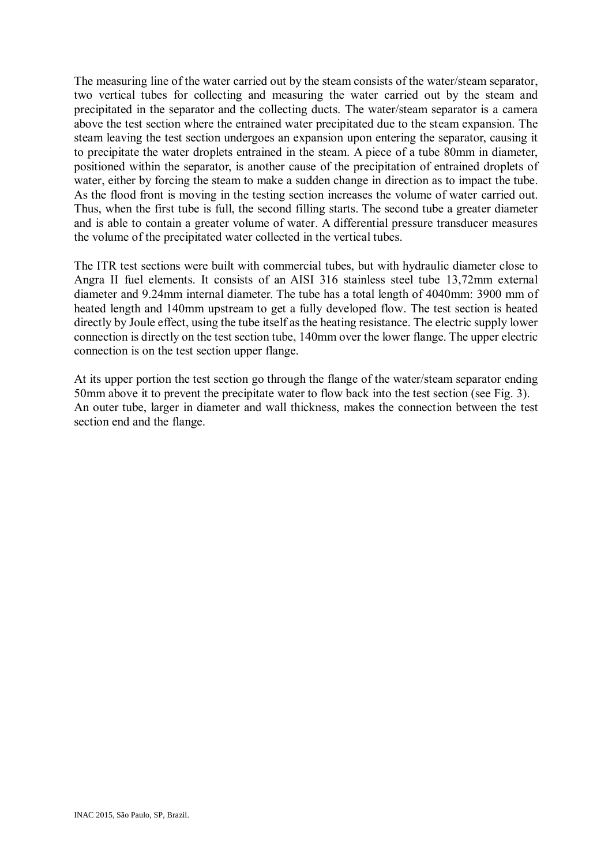The measuring line of the water carried out by the steam consists of the water/steam separator, two vertical tubes for collecting and measuring the water carried out by the steam and precipitated in the separator and the collecting ducts. The water/steam separator is a camera above the test section where the entrained water precipitated due to the steam expansion. The steam leaving the test section undergoes an expansion upon entering the separator, causing it to precipitate the water droplets entrained in the steam. A piece of a tube 80mm in diameter, positioned within the separator, is another cause of the precipitation of entrained droplets of water, either by forcing the steam to make a sudden change in direction as to impact the tube. As the flood front is moving in the testing section increases the volume of water carried out. Thus, when the first tube is full, the second filling starts. The second tube a greater diameter and is able to contain a greater volume of water. A differential pressure transducer measures the volume of the precipitated water collected in the vertical tubes.

The ITR test sections were built with commercial tubes, but with hydraulic diameter close to Angra II fuel elements. It consists of an AISI 316 stainless steel tube 13,72mm external diameter and 9.24mm internal diameter. The tube has a total length of 4040mm: 3900 mm of heated length and 140mm upstream to get a fully developed flow. The test section is heated directly by Joule effect, using the tube itself as the heating resistance. The electric supply lower connection is directly on the test section tube, 140mm over the lower flange. The upper electric connection is on the test section upper flange.

At its upper portion the test section go through the flange of the water/steam separator ending 50mm above it to prevent the precipitate water to flow back into the test section (see Fig. 3). An outer tube, larger in diameter and wall thickness, makes the connection between the test section end and the flange.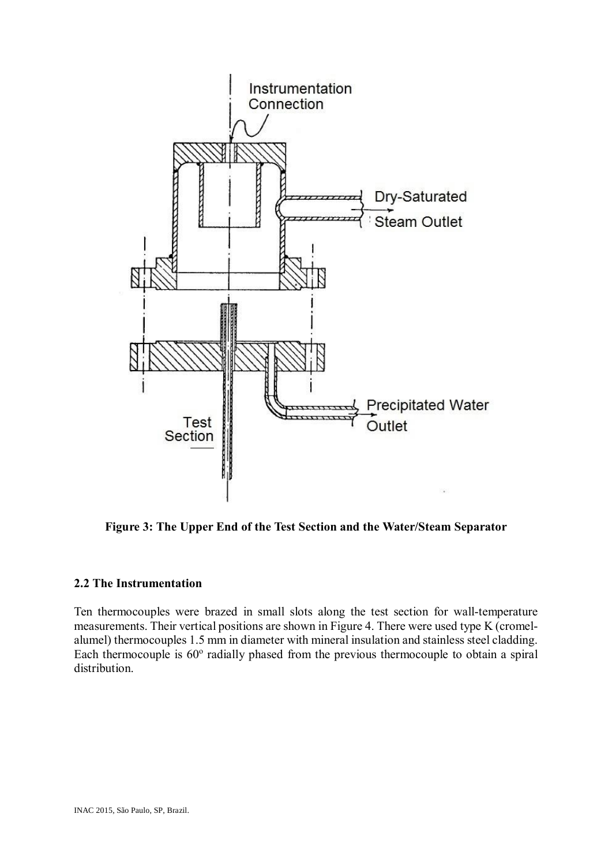

**Figure 3: The Upper End of the Test Section and the Water/Steam Separator**

## **2.2 The Instrumentation**

Ten thermocouples were brazed in small slots along the test section for wall-temperature measurements. Their vertical positions are shown in Figure 4. There were used type K (cromelalumel) thermocouples 1.5 mm in diameter with mineral insulation and stainless steel cladding. Each thermocouple is  $60^{\circ}$  radially phased from the previous thermocouple to obtain a spiral distribution.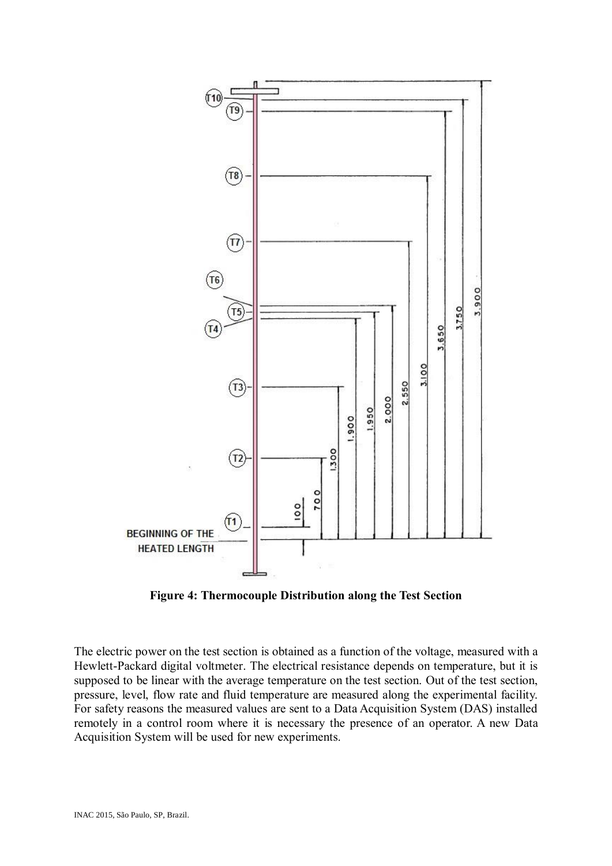

**Figure 4: Thermocouple Distribution along the Test Section**

The electric power on the test section is obtained as a function of the voltage, measured with a Hewlett-Packard digital voltmeter. The electrical resistance depends on temperature, but it is supposed to be linear with the average temperature on the test section. Out of the test section, pressure, level, flow rate and fluid temperature are measured along the experimental facility. For safety reasons the measured values are sent to a Data Acquisition System (DAS) installed remotely in a control room where it is necessary the presence of an operator. A new Data Acquisition System will be used for new experiments.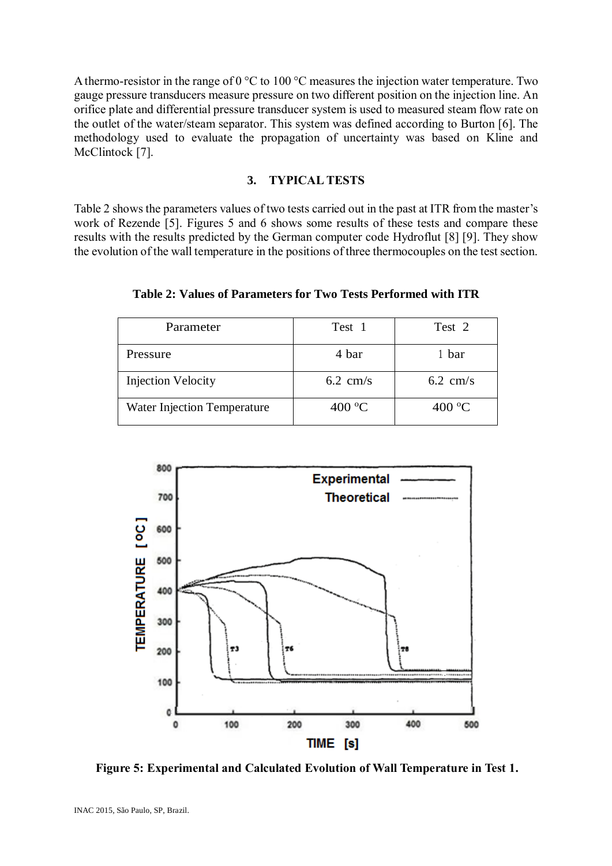A thermo-resistor in the range of 0 °C to 100 °C measures the injection water temperature. Two gauge pressure transducers measure pressure on two different position on the injection line. An orifice plate and differential pressure transducer system is used to measured steam flow rate on the outlet of the water/steam separator. This system was defined according to Burton [6]. The methodology used to evaluate the propagation of uncertainty was based on Kline and McClintock [7].

## **3. TYPICAL TESTS**

Table 2 shows the parameters values of two tests carried out in the past at ITR from the master's work of Rezende [5]. Figures 5 and 6 shows some results of these tests and compare these results with the results predicted by the German computer code Hydroflut [8] [9]. They show the evolution of the wall temperature in the positions of three thermocouples on the test section.

| Parameter                          | Test 1             | Test 2             |
|------------------------------------|--------------------|--------------------|
| Pressure                           | 4 bar              | 1 bar              |
| <b>Injection Velocity</b>          | $6.2 \text{ cm/s}$ | $6.2 \text{ cm/s}$ |
| <b>Water Injection Temperature</b> | 400 $\rm ^{o}C$    | 400 $\rm ^{o}C$    |

**Table 2: Values of Parameters for Two Tests Performed with ITR**



**Figure 5: Experimental and Calculated Evolution of Wall Temperature in Test 1.**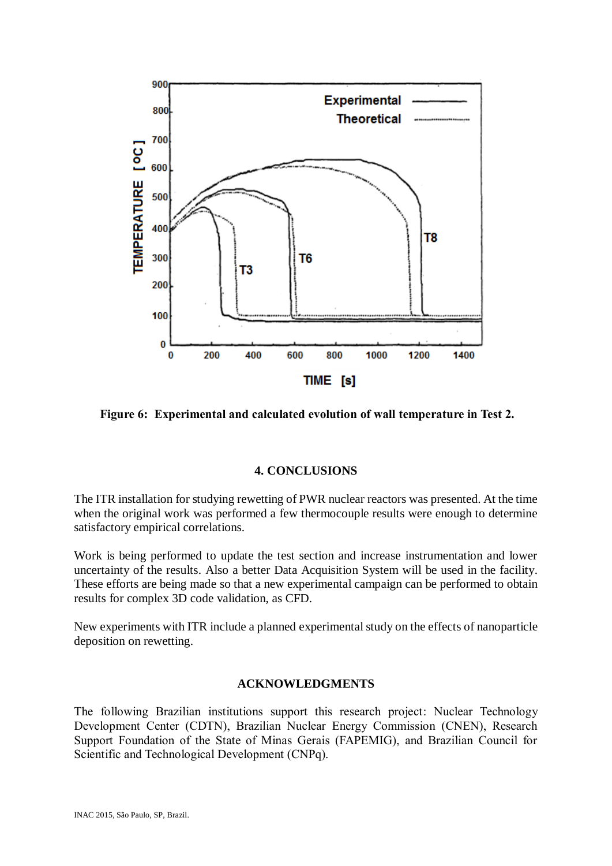

**Figure 6: Experimental and calculated evolution of wall temperature in Test 2.**

## **4. CONCLUSIONS**

The ITR installation for studying rewetting of PWR nuclear reactors was presented. At the time when the original work was performed a few thermocouple results were enough to determine satisfactory empirical correlations.

Work is being performed to update the test section and increase instrumentation and lower uncertainty of the results. Also a better Data Acquisition System will be used in the facility. These efforts are being made so that a new experimental campaign can be performed to obtain results for complex 3D code validation, as CFD.

New experiments with ITR include a planned experimental study on the effects of nanoparticle deposition on rewetting.

#### **ACKNOWLEDGMENTS**

The following Brazilian institutions support this research project: Nuclear Technology Development Center (CDTN), Brazilian Nuclear Energy Commission (CNEN), Research Support Foundation of the State of Minas Gerais (FAPEMIG), and Brazilian Council for Scientific and Technological Development (CNPq).